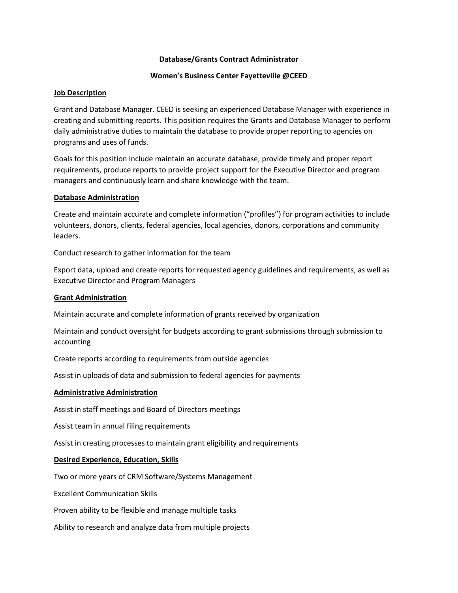## **Database/Grants Contract Administrator**

## **Women's Business Center Fayetteville @CEED**

## **Job Description**

Grant and Database Manager. CEED is seeking an experienced Database Manager with experience in creating and submitting reports. This position requires the Grants and Database Manager to perform daily administrative duties to maintain the database to provide proper reporting to agencies on programs and uses of funds.

Goals for this position include maintain an accurate database, provide timely and proper report requirements, produce reports to provide project support for the Executive Director and program managers and continuously learn and share knowledge with the team.

#### **Database Administration**

Create and maintain accurate and complete information ("profiles") for program activities to include volunteers, donors, clients, federal agencies, local agencies, donors, corporations and community leaders.

Conduct research to gather information for the team

Export data, upload and create reports for requested agency guidelines and requirements, as well as Executive Director and Program Managers

### **Grant Administration**

Maintain accurate and complete information of grants received by organization

Maintain and conduct oversight for budgets according to grant submissions through submission to accounting

Create reports according to requirements from outside agencies

Assist in uploads of data and submission to federal agencies for payments

#### **Administrative Administration**

Assist in staff meetings and Board of Directors meetings

Assist team in annual filing requirements

Assist in creating processes to maintain grant eligibility and requirements

# **Desired Experience, Education, Skills**

Two or more years of CRM Software/Systems Management

Excellent Communication Skills

Proven ability to be flexible and manage multiple tasks

Ability to research and analyze data from multiple projects